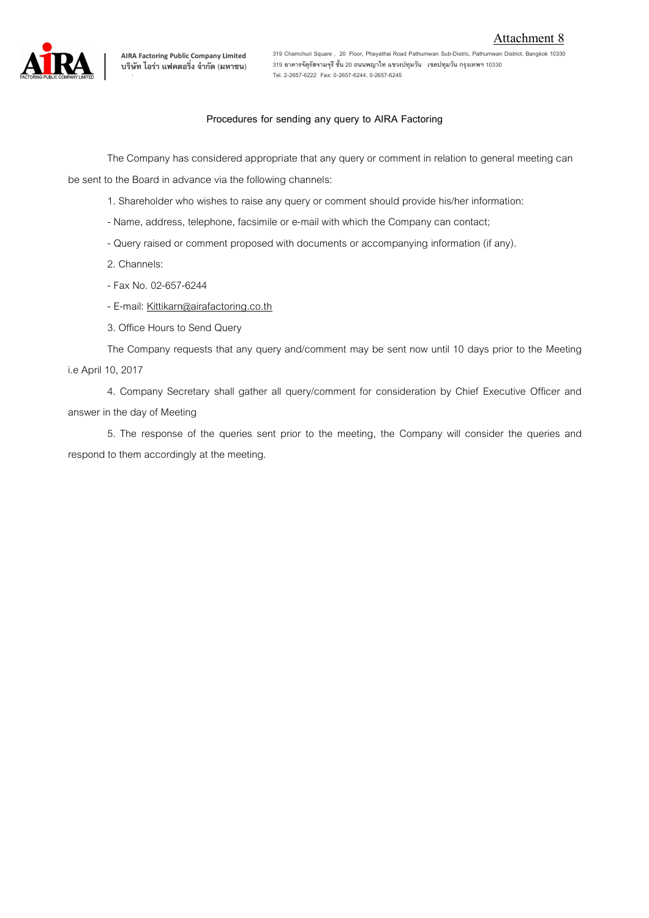

**319 Chamchuri Square , 20 Floor, Phayathai Road Pathumwan Sub-Distric, Pathumwan District, Bangkok 10330 319 อาคารจัตุรัสจามจุรี ชั้น 20 ถนนพญาไท แขวงปทุมวัน เขตปทุมวัน กรุงเทพฯ 10330 Tel. 2-2657-6222 Fax: 0-2657-6244, 0-2657-6245**

## **Procedures for sending any query to AIRA Factoring**

The Company has considered appropriate that any query or comment in relation to general meeting can

be sent to the Board in advance via the following channels:

- 1. Shareholder who wishes to raise any query or comment should provide his/her information:
- Name, address, telephone, facsimile or e-mail with which the Company can contact;
- Query raised or comment proposed with documents or accompanying information (if any).
- 2. Channels:
- Fax No. 02-657-6244
- E-mail: Kittikarn@airafactoring.co.th
- 3. Office Hours to Send Query

The Company requests that any query and/comment may be sent now until 10 days prior to the Meeting i.e April 10, 2017

4. Company Secretary shall gather all query/comment for consideration by Chief Executive Officer and answer in the day of Meeting

5. The response of the queries sent prior to the meeting, the Company will consider the queries and respond to them accordingly at the meeting.